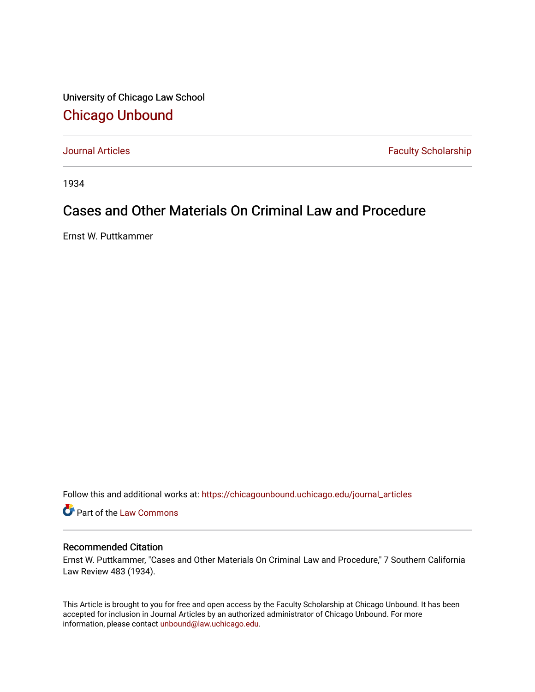University of Chicago Law School [Chicago Unbound](https://chicagounbound.uchicago.edu/)

[Journal Articles](https://chicagounbound.uchicago.edu/journal_articles) **Faculty Scholarship Faculty Scholarship** 

1934

## Cases and Other Materials On Criminal Law and Procedure

Ernst W. Puttkammer

Follow this and additional works at: [https://chicagounbound.uchicago.edu/journal\\_articles](https://chicagounbound.uchicago.edu/journal_articles?utm_source=chicagounbound.uchicago.edu%2Fjournal_articles%2F8989&utm_medium=PDF&utm_campaign=PDFCoverPages) 

Part of the [Law Commons](http://network.bepress.com/hgg/discipline/578?utm_source=chicagounbound.uchicago.edu%2Fjournal_articles%2F8989&utm_medium=PDF&utm_campaign=PDFCoverPages)

## Recommended Citation

Ernst W. Puttkammer, "Cases and Other Materials On Criminal Law and Procedure," 7 Southern California Law Review 483 (1934).

This Article is brought to you for free and open access by the Faculty Scholarship at Chicago Unbound. It has been accepted for inclusion in Journal Articles by an authorized administrator of Chicago Unbound. For more information, please contact [unbound@law.uchicago.edu](mailto:unbound@law.uchicago.edu).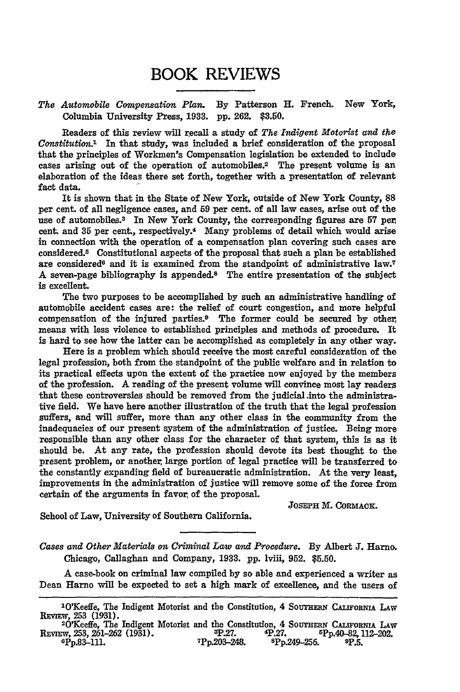## BOOK REVIEWS

## *The Automobile Compensation Plan.* **By** Patterson H. French. New York, Columbia University Press, **1933. pp. 262. \$3.50.**

Readers of this review will recall a study of *The Indigent Motorist and the Constitution.1* In that study, was included a brief consideration of the proposal that the principles of Workmen's Compensation legislation be extended to include cases arising out of the operation of automobiles.<sup>2</sup> The present volume is an elaboration of the ideas there set forth, together with a presentation of relevant fact data.

It is shown that in the State of New York, outside of New York County, **88** per cent. of all negligence cases, and **59** per cent. of all law cases, arise out of the use of automobiles. 3 In New York County, the corresponding figures are **57** per, cent and **35** per cent., respectively.4 Many problems of detail which would arise in connection with the operation of a compensation plan covering such cases are considered. 5 Constitutional aspects of the proposal that such a plan be established are considered<sup>6</sup> and it is examined from the standpoint of administrative law.<sup>7</sup> A seven-page bibliography is appended.8 The entire presentation of the subject is excellent.

The two purposes to be accomplished **by** such an administrative handling of automobile accident cases are: the relief of court congestion, and more helpful compensation of the injured parties. 9 The former could be secured **by** other, means with less violence to established principles and methods of procedure. It is hard to see how the latter can be accomplished as completely in any other way.

Here is a problem which should receive the most careful consideration of the legal profession, both from the standpoint of the public welfare and in relation to its practical effects upon the extent of the practice now enjoyed **by** the members of the profession. **A** reading of the present volume **will** convince most lay readers that these controversies should be removed from the judicial .into the administrative field. We have here another illustration of the truth that the legal profession suffers, and will suffer, more than any other class in the community from the inadequacies of our present system of the administration of justice. Being more responsible than any other class for the character of that system, this is as it should be. At any rate, the profession should devote its best thought to the present problem, or another, large portion of legal practice will be transferred to the constantly expanding field of bureaucratic administration. At the very least, improvements in the administration of justice will remove some of the force from certain of the arguments in favor, of the proposal.

**JOSEPH** M. **CORMACE.**

School of Law, University of Southern California.

*Cases and Other Materials on Criminal Law and Procedure.* **By** Albert **J.** Harno. Chicago, Callaghan and Company, **1933. pp.** lviii, **952. \$5.50.**

A case-book on criminal law compiled **by** so able and experienced a writer as Dean Harno will be expected to set a high mark of excellence, and the users of

<sup>&</sup>lt;sup>1</sup>O'Keeffe, The Indigent Motorist and the Constitution, 4 SOUTHERN CALIFORNIA LAW REmw, **253 (1931).** <sup>2</sup>

<sup>&</sup>lt;sup>20</sup>Xeeffe, The Indigent Motorist and the Constitution, 4 SOUTHERN CALIFORNIA LAW<br>REVIEW, 253, 261-262 (1931). 3P.27. **4P.27.** 5Pp.40-82,112-202.<br><sup>4</sup>Pp.83-111. *7Pp.203-248.* 8Pp.249-256. 9P.5 **8.27. 8. sp. 49.27. 8. sp. 40-82, 112-202.**<br>**8. sp. 249-256. 8. sp. 3.**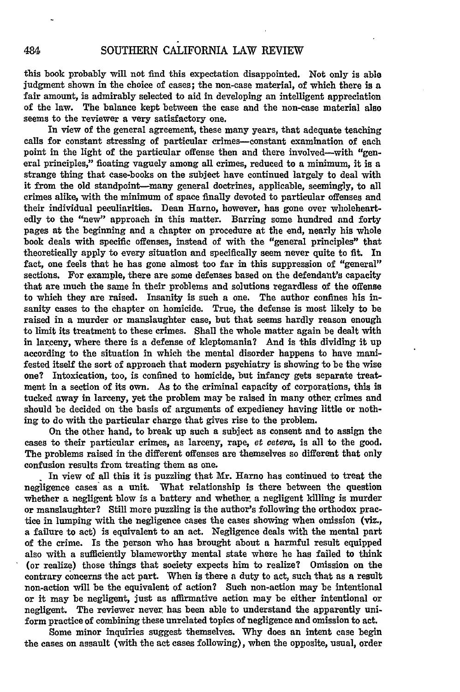this book probably will not find this expectation disappointed. Not only is able judgment shown in the choice of cases; the non-case material, of which there is a fair amount, is admirably selected to aid in developing an intelligent appreciation of the law. The balance kept between the case and the non-case material also seems to the reviewer a very satisfactory one.

In view of the general agreement, these many years, that adequate teaching calls for constant stressing of particular crimes-constant examination of each point in the light of the particular offense then and there involved--with "general principles," floating vaguely among all crimes, reduced to a minimum, it is a strange thing that case-books on the subject have continued largely to deal with it from the old standpoint-many general doctrines, applicable, seemingly, to all crimes alike, with the minimum of space finally devoted to particular offenses and their individual peculiarities. Dean Harno, however, has gone over wholeheartedly to the "new" approach in this matter. Barring some hundred and forty pages at the beginning and a chapter on procedure at the end, nearly his whole book deals with specific offenses, instead of with the "general principles" that theoretically apply to every situation and specifically seem **never** quite to fit. In fact, one feels that he has gone almost too far in this suppression of "general" sections. For example, there are some defenses based on the defendant's capacity that are much the same in their problems and solutions regardless of the offense to which they are raised. Insanity is such a one. The author confines his insanity cases to the chapter on homicide. True, the defense is most likely to be raised in a murder or manslaughter case, but that seems hardly reason enough to limit its treatment to these crimes. Shall the whole matter again be dealt with in larceny, where there is a defense of kleptomania? And is this dividing it up according to the situation in which the mental disorder happens to have manifested itself the sort of approach that modern psychiatry is showing to be the wise one? Intoxication, too, is confined to homicide, but infancy gets separate treatment in a section of its own. As to the criminal capacity of corporations, this is tucked away in larceny, yet the problem may be raised in many other, crimes and should be decided on the basis of arguments of expediency having little or nothing to do with the particular charge that gives rise to the problem.

On the other hand, to break up such a subject as consent and to assign the cases to their particular crimes, as larceny, rape, et cetera, is all to the good. The problems raised in the different offenses are themselves so different that only confusion results from treating them as one.

In view of all this it is puzzling that Mr. Harno has continued to treat the negligence cases as a unit. What relationship is there between the question whether a negligent blow is a battery and whether, a negligent killing is murder or manslaughter? Still more puzzling is the author's following the orthodox practice in lumping with the negligence cases the cases showing when omission (viz., a failure to act) is equivalent to an act. Negligence deals with the mental part of the crime. Is the person who has brought about a harmful result equipped also with a sufficiently blameworthy mental state where he has failed to think (or realize) those things that society expects him to realize? Omission on the contrary concerns the act part. When is there a duty to act, such that as a result non-action will be the equivalent of action? Such non-action may be intentional or it may be negligent, just as affirmative action may be either intentional or negligent. The reviewer never, has been able to understand the apparently uniform practice of combining these unrelated topics of negligence and omission to act.

Some minor inquiries suggest themselves. **Why** does an intent case begin the cases on assault (with the act cases following), when the opposite, usual, order